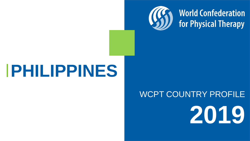

# **World Confederation<br>for Physical Therapy**

## **PHILIPPINES**

## WCPT COUNTRY PROFILE **2019**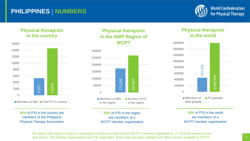### **PHILIPPINES | NUMBERS**



#### **Physical therapists in the country**



**36%** of PTs in the country are members of the Philippine Physical Therapy Association

#### **Physical therapists in the AWP Region of WCPT**



**65%** of PTs in the region are members of a WCPT member organisation

#### **Physical therapists in the world**



**29%** of PTs in the world are members of a WCPT member organisation

The data in this report is based on responses to annual surveys sent to WCPT's member organisations. In 2019 the annual survey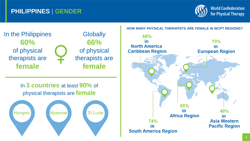## **PHILIPPINES | GENDER**





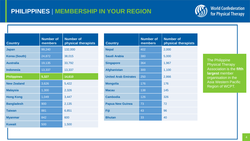## **PHILIPPINES | MEMBERSHIP IN YOUR REGION**



| <b>Country</b>       | <b>Number of</b><br>members | <b>Number of</b><br>physical therapists |
|----------------------|-----------------------------|-----------------------------------------|
| <b>Japan</b>         | 99,240                      | 132,000                                 |
| <b>Korea (South)</b> | 24,872                      | 38,015                                  |
| <b>Australia</b>     | 19,135                      | 33,792                                  |
| <b>Indonesia</b>     | 13,337                      | 13,337                                  |
| <b>Philippines</b>   | 5,327                       | 14,610                                  |
| <b>New Zealand</b>   | 3,626                       | 5,422                                   |
| <b>Malaysia</b>      | 1,300                       | 2,326                                   |
| <b>Hong Kong</b>     | 1,049                       | 3,447                                   |
| <b>Bangladesh</b>    | 900                         | 2,135                                   |
| <b>Taiwan</b>        | 881                         | 6,851                                   |
| <b>Myanmar</b>       | 842                         | 600                                     |
| <b>Kuwait</b>        | 500                         | 1,500                                   |

| <b>Country</b>              | <b>Number of</b><br>members | <b>Number of</b><br>physical therapists |
|-----------------------------|-----------------------------|-----------------------------------------|
| <b>Nepal</b>                | 402                         | 2,000                                   |
| <b>Saudi Arabia</b>         | 380                         | 5,000                                   |
| <b>Singapore</b>            | 364                         | 1,967                                   |
| <b>Afghanistan</b>          | 300                         | 1,100                                   |
| <b>United Arab Emirates</b> | 250                         | 2,866                                   |
| <b>Mongolia</b>             | 176                         | 176                                     |
| <b>Macau</b>                | 138                         | 145                                     |
| <b>Cambodia</b>             | 126                         | 326                                     |
| <b>Papua New Guinea</b>     | 73                          | 72                                      |
| Fiji                        | 43                          | 96                                      |
| <b>Bhutan</b>               | 33                          | 40                                      |

The Philippine Physical Therapy Association is the **fifth largest** member organisation in the Asia Western Pacific Region of WCPT.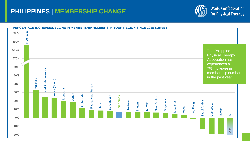## **PHILIPPINES | MEMBERSHIP CHANGE**



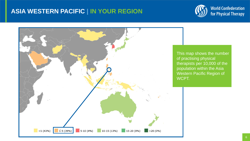## **ASIA WESTERN PACIFIC | IN YOUR REGION**



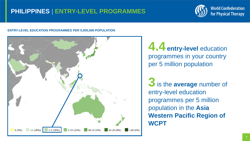## **PHILIPPINES | ENTRY-LEVEL PROGRAMMES**



#### **ENTRY-LEVEL EDUCATION PROGRAMMES PER 5,000,000 POPULATION**



**4.4entry-level** education programmes in your country per 5 million population

**3** is the **average** number of entry-level education programmes per 5 million population in the **Asia Western Pacific Region of WCPT**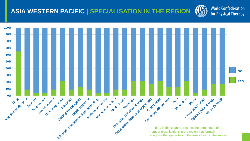## **ASIA WESTERN PACIFIC | SPECIALISATION IN THE REGION**



recognise the specialties in the areas listed in the survey.

**World Confederation** 

for Physical Therapy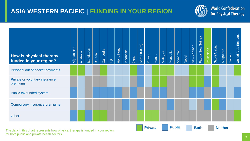## **ASIA WESTERN PACIFIC | FUNDING IN YOUR REGION**



**Private Public Both Neither** 

| How is physical therapy<br>funded in your region? | Afghanistan | <b>Australia</b> | Bangladesh | <b>Bhutan</b> | Cambodia | 衙 | Hong Kong | Indonesia | Japan | Korea (South) | Kuwait | Macau | Malaysia | Mongolia | Myanmar | <b>Nepal</b> | New Zealand | Papua New Guinea | Philippines | Saudi Arabia | Singapore | Taiwan | <b>United Arab Emirates</b> |
|---------------------------------------------------|-------------|------------------|------------|---------------|----------|---|-----------|-----------|-------|---------------|--------|-------|----------|----------|---------|--------------|-------------|------------------|-------------|--------------|-----------|--------|-----------------------------|
| Personal out of pocket payments                   |             |                  |            |               |          |   |           |           |       |               |        |       |          |          |         |              |             |                  |             |              |           |        |                             |
| Private or voluntary insurance<br>premiums        |             |                  |            |               |          |   |           |           |       |               |        |       |          |          |         |              |             |                  |             |              |           |        |                             |
| Public tax funded system                          |             |                  |            |               |          |   |           |           |       |               |        |       |          |          |         |              |             |                  |             |              |           |        |                             |
| <b>Compulsory insurance premiums</b>              |             |                  |            |               |          |   |           |           |       |               |        |       |          |          |         |              |             |                  |             |              |           |        |                             |
| <b>Other</b>                                      |             |                  |            |               |          |   |           |           |       |               |        |       |          |          |         |              |             |                  |             |              |           |        |                             |

The data in this chart represents how physical therapy is funded in your region, for both public and private health sectors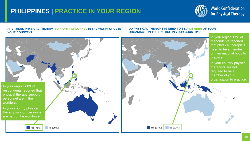## **PHILIPPINES | PRACTICE IN YOUR REGION**



#### **ARE THERE PHYSICAL THERAPY SUPPORT PERSONNEL IN THE WORKFORCE IN YOUR COUNTRY?**

#### **DO PHYSICAL THERAPISTS NEED TO BE A MEMBER OF YOUR ORGANISATION TO PRACTICE IN YOUR COUNTRY?**

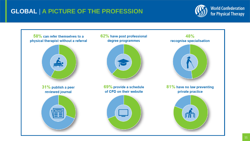## **GLOBAL | A PICTURE OF THE PROFESSION**



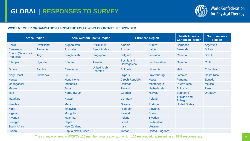

#### **WCPT MEMBER ORGANISATIONS FROM THE FOLLOWING COUNTRIES RESPONDED:**

| <b>Africa Region</b>           |                  | <b>Asia Western Pacific Region</b> |                                       |                                  | <b>European Region</b> | <b>North America</b><br><b>Caribbean Region</b> | <b>South America</b><br><b>Region</b> |
|--------------------------------|------------------|------------------------------------|---------------------------------------|----------------------------------|------------------------|-------------------------------------------------|---------------------------------------|
| <b>Benin</b>                   | <b>Swaziland</b> | Afghanistan                        | <b>Philippines</b>                    | Albania                          | Kosovo                 | <b>Barbados</b>                                 | Argentina                             |
| Cameroon                       | Tanzania         | <b>Australia</b>                   | Saudi Arabia                          | Austria                          | Latvia                 | <b>Bermuda</b>                                  | <b>Bolivia</b>                        |
| Congo (Democratic<br>Republic) | <b>Togo</b>      | <b>Bangladesh</b>                  | Singapore                             | <b>Belgium</b>                   | Lebanon                | Canada                                          | <b>Brazil</b>                         |
| <b>Ethiopia</b>                | Uganda           | <b>Bhutan</b>                      | <b>Taiwan</b>                         | <b>Bosnia and</b><br>Herzegovina | Liechtenstein          | Guyana                                          | <b>Chile</b>                          |
| Ghana                          | Zambia           | Cambodia                           | <b>United Arab</b><br><b>Emirates</b> | <b>Bulgaria</b>                  | Lithuania              | Haiti                                           | Colombia                              |
| <b>Ivory Coast</b>             | Zimbabwe         | Fiji                               |                                       | <b>Cyprus</b>                    | Luxembourg             | Jamaica                                         | <b>Costa Rica</b>                     |
| Kenya                          |                  | <b>Hong Kong</b>                   |                                       | <b>Czech Republic</b>            | <b>Malta</b>           | Panama                                          | <b>Ecuador</b>                        |
| Madagascar                     |                  | Indonesia                          |                                       | <b>Denmark</b>                   | Montenegro             | <b>Puerto Rico</b>                              | <b>Mexico</b>                         |
| <b>Malawi</b>                  |                  | Japan                              |                                       | Finland                          | <b>Netherlands</b>     | <b>St Lucia</b>                                 | Peru                                  |
| <b>Mali</b>                    |                  | Korea (South)                      |                                       | Georgia                          | <b>Norway</b>          | <b>Suriname</b>                                 | Uruguay                               |
| <b>Mauritius</b>               |                  | <b>Kuwait</b>                      |                                       | Germany                          | Poland                 | <b>Trinidad and</b><br><b>Tobago</b>            |                                       |
| <b>Namibia</b>                 |                  | <b>Macau</b>                       |                                       | Greece                           | Portugal               | <b>United States</b>                            |                                       |
| <b>Niger</b>                   |                  | <b>Malaysia</b>                    |                                       | Hungary                          | Slovenia               |                                                 |                                       |
| <b>Nigeria</b>                 |                  | Mongolia                           |                                       | Iceland                          | Spain                  |                                                 |                                       |
| Rwanda                         |                  | <b>Myanmar</b>                     |                                       | Ireland                          | Sweden                 |                                                 |                                       |
| Senegal                        |                  | <b>Nepal</b>                       |                                       | <b>Israel</b>                    | Switzerland            |                                                 |                                       |
| <b>South Africa</b>            |                  | <b>New Zealand</b>                 |                                       | Italy                            | <b>Ukraine</b>         |                                                 |                                       |
| Sudan                          |                  | Papua New Guinea                   |                                       | Jordan                           | <b>United Kingdom</b>  |                                                 |                                       |

The survey was sent to WCPT's 120 member organisations, of which 105 responded, representing an 88% response rate.